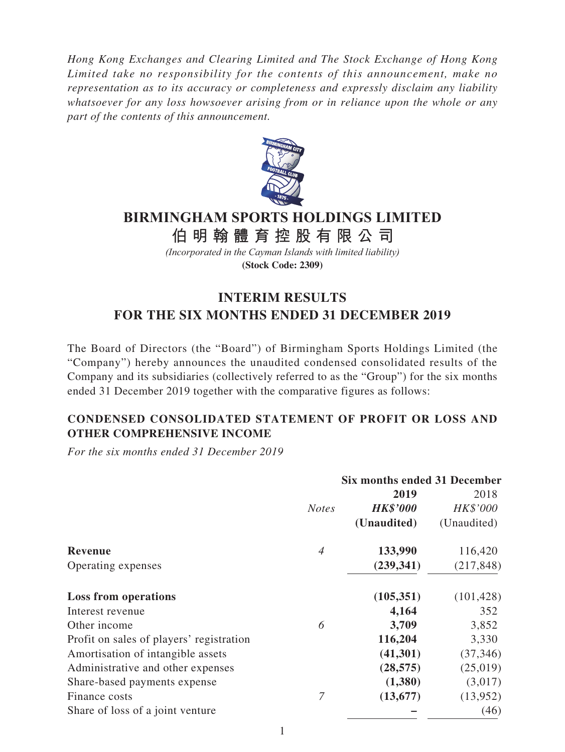*Hong Kong Exchanges and Clearing Limited and The Stock Exchange of Hong Kong Limited take no responsibility for the contents of this announcement, make no representation as to its accuracy or completeness and expressly disclaim any liability whatsoever for any loss howsoever arising from or in reliance upon the whole or any part of the contents of this announcement.*



# **BIRMINGHAM SPORTS HOLDINGS LIMITED**

**伯明翰體育控股有限公 司**

*(Incorporated in the Cayman Islands with limited liability)* **(Stock Code: 2309)**

# **INTERIM RESULTS FOR THE SIX MONTHS ENDED 31 DECEMBER 2019**

The Board of Directors (the "Board") of Birmingham Sports Holdings Limited (the "Company") hereby announces the unaudited condensed consolidated results of the Company and its subsidiaries (collectively referred to as the "Group") for the six months ended 31 December 2019 together with the comparative figures as follows:

# **CONDENSED CONSOLIDATED STATEMENT OF PROFIT OR LOSS AND OTHER COMPREHENSIVE INCOME**

*For the six months ended 31 December 2019*

|                                          |                | <b>Six months ended 31 December</b> |             |
|------------------------------------------|----------------|-------------------------------------|-------------|
|                                          |                | 2019                                | 2018        |
|                                          | <b>Notes</b>   | <b>HK\$'000</b>                     | HK\$'000    |
|                                          |                | (Unaudited)                         | (Unaudited) |
| <b>Revenue</b>                           | $\overline{A}$ | 133,990                             | 116,420     |
| Operating expenses                       |                | (239, 341)                          | (217, 848)  |
| <b>Loss from operations</b>              |                | (105, 351)                          | (101, 428)  |
| Interest revenue                         |                | 4,164                               | 352         |
| Other income                             | 6              | 3,709                               | 3,852       |
| Profit on sales of players' registration |                | 116,204                             | 3,330       |
| Amortisation of intangible assets        |                | (41,301)                            | (37, 346)   |
| Administrative and other expenses        |                | (28, 575)                           | (25,019)    |
| Share-based payments expense             |                | (1,380)                             | (3,017)     |
| Finance costs                            | 7              | (13, 677)                           | (13,952)    |
| Share of loss of a joint venture         |                |                                     | (46)        |

1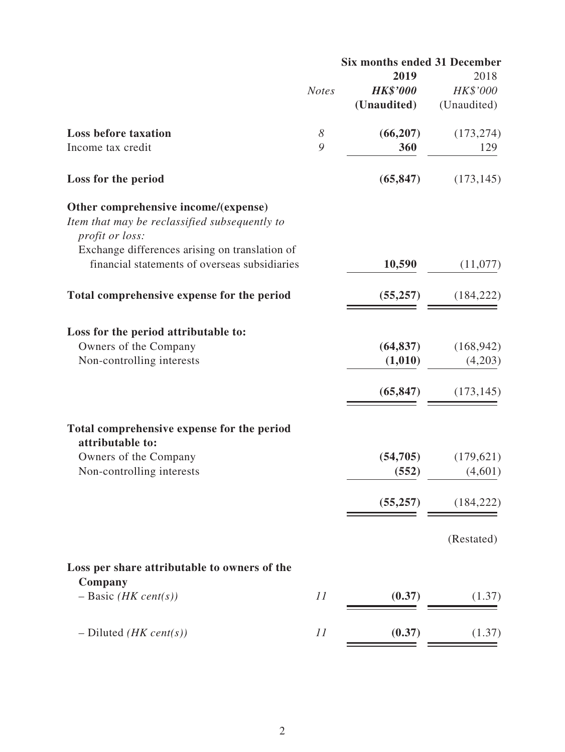| 2018<br>HK\$'000<br>(Unaudited)<br>(173, 274)<br>129<br>(173, 145) |
|--------------------------------------------------------------------|
|                                                                    |
|                                                                    |
|                                                                    |
|                                                                    |
|                                                                    |
|                                                                    |
|                                                                    |
|                                                                    |
| (11,077)                                                           |
| (184, 222)                                                         |
|                                                                    |
| (168, 942)                                                         |
| (4,203)                                                            |
| (173, 145)                                                         |
|                                                                    |
|                                                                    |
| (179, 621)                                                         |
| (4,601)                                                            |
| (184, 222)                                                         |
| (Restated)                                                         |
|                                                                    |
| (1.37)                                                             |
| (1.37)                                                             |
|                                                                    |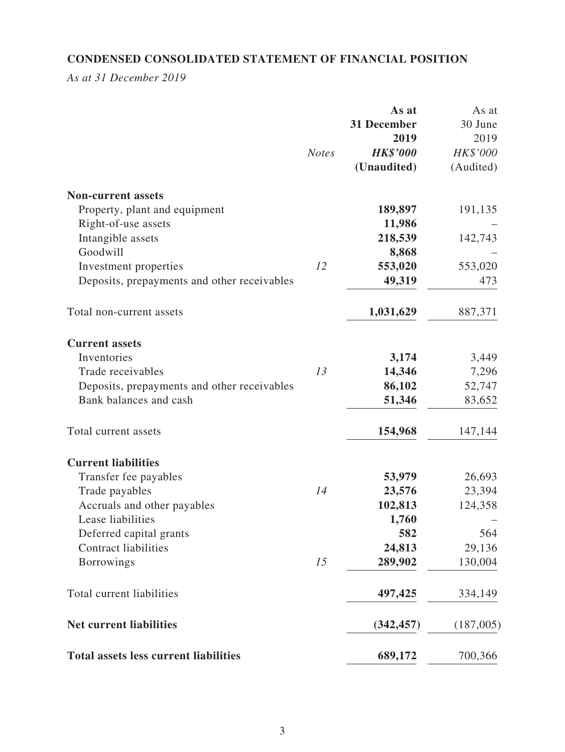# **CONDENSED CONSOLIDATED STATEMENT OF FINANCIAL POSITION**

*As at 31 December 2019*

|                                              |              | As at           | As at     |
|----------------------------------------------|--------------|-----------------|-----------|
|                                              |              | 31 December     | 30 June   |
|                                              |              | 2019            | 2019      |
|                                              | <b>Notes</b> | <b>HK\$'000</b> | HK\$'000  |
|                                              |              | (Unaudited)     | (Audited) |
| <b>Non-current assets</b>                    |              |                 |           |
| Property, plant and equipment                |              | 189,897         | 191,135   |
| Right-of-use assets                          |              | 11,986          |           |
| Intangible assets                            |              | 218,539         | 142,743   |
| Goodwill                                     |              | 8,868           |           |
| Investment properties                        | 12           | 553,020         | 553,020   |
| Deposits, prepayments and other receivables  |              | 49,319          | 473       |
| Total non-current assets                     |              | 1,031,629       | 887,371   |
| <b>Current assets</b>                        |              |                 |           |
| Inventories                                  |              | 3,174           | 3,449     |
| Trade receivables                            | 13           | 14,346          | 7,296     |
| Deposits, prepayments and other receivables  |              | 86,102          | 52,747    |
| Bank balances and cash                       |              | 51,346          | 83,652    |
| Total current assets                         |              | 154,968         | 147,144   |
| <b>Current liabilities</b>                   |              |                 |           |
| Transfer fee payables                        |              | 53,979          | 26,693    |
| Trade payables                               | 14           | 23,576          | 23,394    |
| Accruals and other payables                  |              | 102,813         | 124,358   |
| Lease liabilities                            |              | 1,760           |           |
| Deferred capital grants                      |              | 582             | 564       |
| <b>Contract liabilities</b>                  |              | 24,813          | 29,136    |
| <b>Borrowings</b>                            | 15           | 289,902         | 130,004   |
| Total current liabilities                    |              | 497,425         | 334,149   |
| <b>Net current liabilities</b>               |              | (342, 457)      | (187,005) |
| <b>Total assets less current liabilities</b> |              | 689,172         | 700,366   |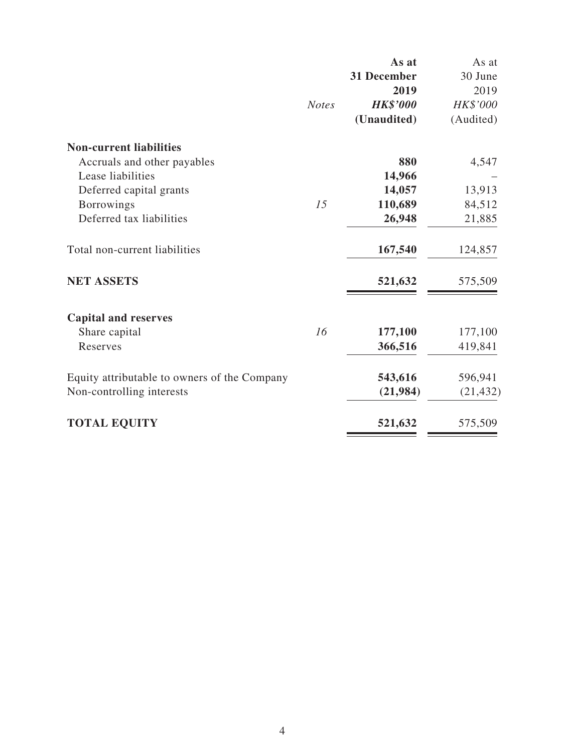|                                              |              | As at              | As at     |
|----------------------------------------------|--------------|--------------------|-----------|
|                                              |              | <b>31 December</b> | 30 June   |
|                                              |              | 2019               | 2019      |
|                                              | <b>Notes</b> | <b>HK\$'000</b>    | HK\$'000  |
|                                              |              | (Unaudited)        | (Audited) |
| <b>Non-current liabilities</b>               |              |                    |           |
| Accruals and other payables                  |              | 880                | 4,547     |
| Lease liabilities                            |              | 14,966             |           |
| Deferred capital grants                      |              | 14,057             | 13,913    |
| <b>Borrowings</b>                            | 15           | 110,689            | 84,512    |
| Deferred tax liabilities                     |              | 26,948             | 21,885    |
| Total non-current liabilities                |              | 167,540            | 124,857   |
| <b>NET ASSETS</b>                            |              | 521,632            | 575,509   |
| <b>Capital and reserves</b>                  |              |                    |           |
| Share capital                                | 16           | 177,100            | 177,100   |
| Reserves                                     |              | 366,516            | 419,841   |
| Equity attributable to owners of the Company |              | 543,616            | 596,941   |
| Non-controlling interests                    |              | (21,984)           | (21, 432) |
| <b>TOTAL EQUITY</b>                          |              | 521,632            | 575,509   |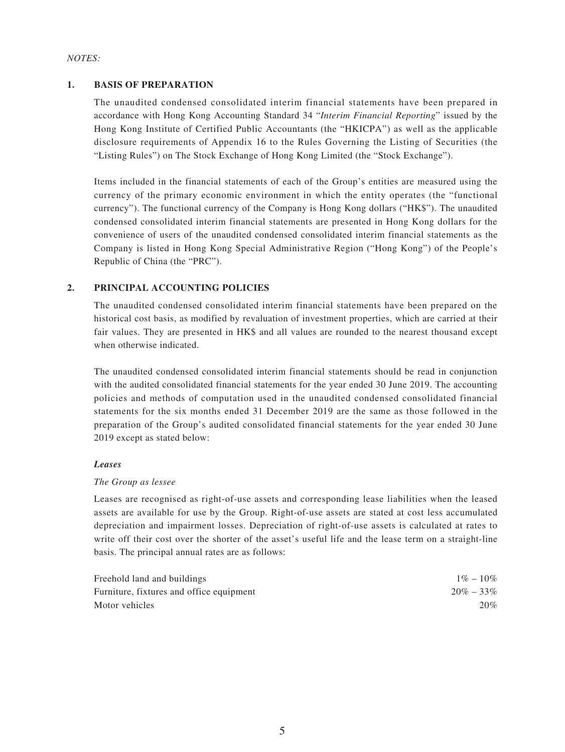#### *NOTES:*

### **1. BASIS OF PREPARATION**

The unaudited condensed consolidated interim financial statements have been prepared in accordance with Hong Kong Accounting Standard 34 "*Interim Financial Reporting*" issued by the Hong Kong Institute of Certified Public Accountants (the "HKICPA") as well as the applicable disclosure requirements of Appendix 16 to the Rules Governing the Listing of Securities (the "Listing Rules") on The Stock Exchange of Hong Kong Limited (the "Stock Exchange").

Items included in the financial statements of each of the Group's entities are measured using the currency of the primary economic environment in which the entity operates (the "functional currency"). The functional currency of the Company is Hong Kong dollars ("HK\$"). The unaudited condensed consolidated interim financial statements are presented in Hong Kong dollars for the convenience of users of the unaudited condensed consolidated interim financial statements as the Company is listed in Hong Kong Special Administrative Region ("Hong Kong") of the People's Republic of China (the "PRC").

### **2. PRINCIPAL ACCOUNTING POLICIES**

The unaudited condensed consolidated interim financial statements have been prepared on the historical cost basis, as modified by revaluation of investment properties, which are carried at their fair values. They are presented in HK\$ and all values are rounded to the nearest thousand except when otherwise indicated.

The unaudited condensed consolidated interim financial statements should be read in conjunction with the audited consolidated financial statements for the year ended 30 June 2019. The accounting policies and methods of computation used in the unaudited condensed consolidated financial statements for the six months ended 31 December 2019 are the same as those followed in the preparation of the Group's audited consolidated financial statements for the year ended 30 June 2019 except as stated below:

#### *Leases*

#### *The Group as lessee*

Leases are recognised as right-of-use assets and corresponding lease liabilities when the leased assets are available for use by the Group. Right-of-use assets are stated at cost less accumulated depreciation and impairment losses. Depreciation of right-of-use assets is calculated at rates to write off their cost over the shorter of the asset's useful life and the lease term on a straight-line basis. The principal annual rates are as follows:

| Freehold land and buildings              | $1\% - 10\%$  |
|------------------------------------------|---------------|
| Furniture, fixtures and office equipment | $20\% - 33\%$ |
| Motor vehicles                           | $20\%$        |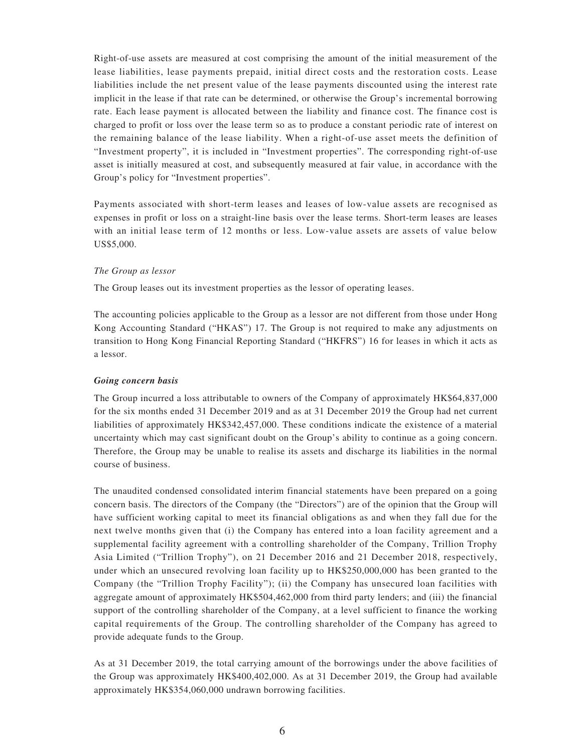Right-of-use assets are measured at cost comprising the amount of the initial measurement of the lease liabilities, lease payments prepaid, initial direct costs and the restoration costs. Lease liabilities include the net present value of the lease payments discounted using the interest rate implicit in the lease if that rate can be determined, or otherwise the Group's incremental borrowing rate. Each lease payment is allocated between the liability and finance cost. The finance cost is charged to profit or loss over the lease term so as to produce a constant periodic rate of interest on the remaining balance of the lease liability. When a right-of-use asset meets the definition of "Investment property", it is included in "Investment properties". The corresponding right-of-use asset is initially measured at cost, and subsequently measured at fair value, in accordance with the Group's policy for "Investment properties".

Payments associated with short-term leases and leases of low-value assets are recognised as expenses in profit or loss on a straight-line basis over the lease terms. Short-term leases are leases with an initial lease term of 12 months or less. Low-value assets are assets of value below US\$5,000.

#### *The Group as lessor*

The Group leases out its investment properties as the lessor of operating leases.

The accounting policies applicable to the Group as a lessor are not different from those under Hong Kong Accounting Standard ("HKAS") 17. The Group is not required to make any adjustments on transition to Hong Kong Financial Reporting Standard ("HKFRS") 16 for leases in which it acts as a lessor.

#### *Going concern basis*

The Group incurred a loss attributable to owners of the Company of approximately HK\$64,837,000 for the six months ended 31 December 2019 and as at 31 December 2019 the Group had net current liabilities of approximately HK\$342,457,000. These conditions indicate the existence of a material uncertainty which may cast significant doubt on the Group's ability to continue as a going concern. Therefore, the Group may be unable to realise its assets and discharge its liabilities in the normal course of business.

The unaudited condensed consolidated interim financial statements have been prepared on a going concern basis. The directors of the Company (the "Directors") are of the opinion that the Group will have sufficient working capital to meet its financial obligations as and when they fall due for the next twelve months given that (i) the Company has entered into a loan facility agreement and a supplemental facility agreement with a controlling shareholder of the Company, Trillion Trophy Asia Limited ("Trillion Trophy"), on 21 December 2016 and 21 December 2018, respectively, under which an unsecured revolving loan facility up to HK\$250,000,000 has been granted to the Company (the "Trillion Trophy Facility"); (ii) the Company has unsecured loan facilities with aggregate amount of approximately HK\$504,462,000 from third party lenders; and (iii) the financial support of the controlling shareholder of the Company, at a level sufficient to finance the working capital requirements of the Group. The controlling shareholder of the Company has agreed to provide adequate funds to the Group.

As at 31 December 2019, the total carrying amount of the borrowings under the above facilities of the Group was approximately HK\$400,402,000. As at 31 December 2019, the Group had available approximately HK\$354,060,000 undrawn borrowing facilities.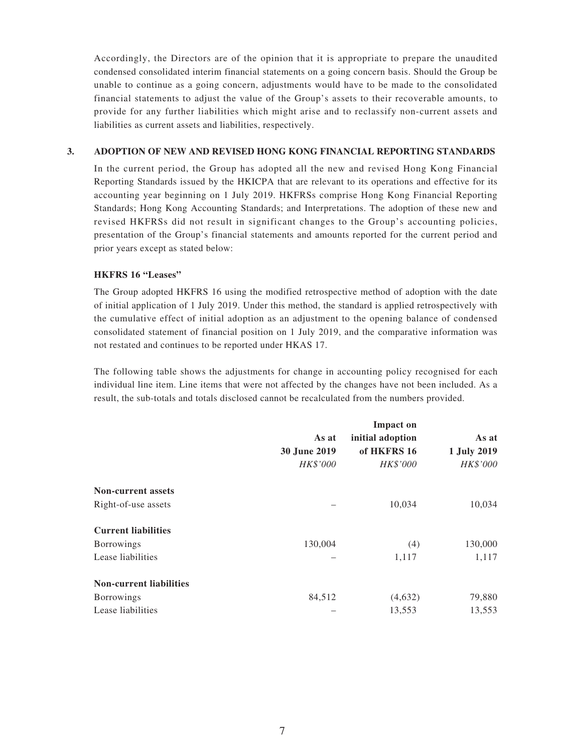Accordingly, the Directors are of the opinion that it is appropriate to prepare the unaudited condensed consolidated interim financial statements on a going concern basis. Should the Group be unable to continue as a going concern, adjustments would have to be made to the consolidated financial statements to adjust the value of the Group's assets to their recoverable amounts, to provide for any further liabilities which might arise and to reclassify non-current assets and liabilities as current assets and liabilities, respectively.

### **3. ADOPTION OF NEW AND REVISED HONG KONG FINANCIAL REPORTING STANDARDS**

In the current period, the Group has adopted all the new and revised Hong Kong Financial Reporting Standards issued by the HKICPA that are relevant to its operations and effective for its accounting year beginning on 1 July 2019. HKFRSs comprise Hong Kong Financial Reporting Standards; Hong Kong Accounting Standards; and Interpretations. The adoption of these new and revised HKFRSs did not result in significant changes to the Group's accounting policies, presentation of the Group's financial statements and amounts reported for the current period and prior years except as stated below:

### **HKFRS 16 "Leases"**

The Group adopted HKFRS 16 using the modified retrospective method of adoption with the date of initial application of 1 July 2019. Under this method, the standard is applied retrospectively with the cumulative effect of initial adoption as an adjustment to the opening balance of condensed consolidated statement of financial position on 1 July 2019, and the comparative information was not restated and continues to be reported under HKAS 17.

The following table shows the adjustments for change in accounting policy recognised for each individual line item. Line items that were not affected by the changes have not been included. As a result, the sub-totals and totals disclosed cannot be recalculated from the numbers provided.

|                                | As at<br>30 June 2019<br>HK\$'000 | <b>Impact on</b><br>initial adoption<br>of HKFRS 16<br>HK\$'000 | As at<br>1 July 2019<br>HK\$'000 |
|--------------------------------|-----------------------------------|-----------------------------------------------------------------|----------------------------------|
| <b>Non-current assets</b>      |                                   |                                                                 |                                  |
| Right-of-use assets            |                                   | 10,034                                                          | 10,034                           |
| <b>Current liabilities</b>     |                                   |                                                                 |                                  |
| <b>Borrowings</b>              | 130,004                           | (4)                                                             | 130,000                          |
| Lease liabilities              |                                   | 1,117                                                           | 1,117                            |
| <b>Non-current liabilities</b> |                                   |                                                                 |                                  |
| <b>Borrowings</b>              | 84,512                            | (4,632)                                                         | 79,880                           |
| Lease liabilities              |                                   | 13,553                                                          | 13,553                           |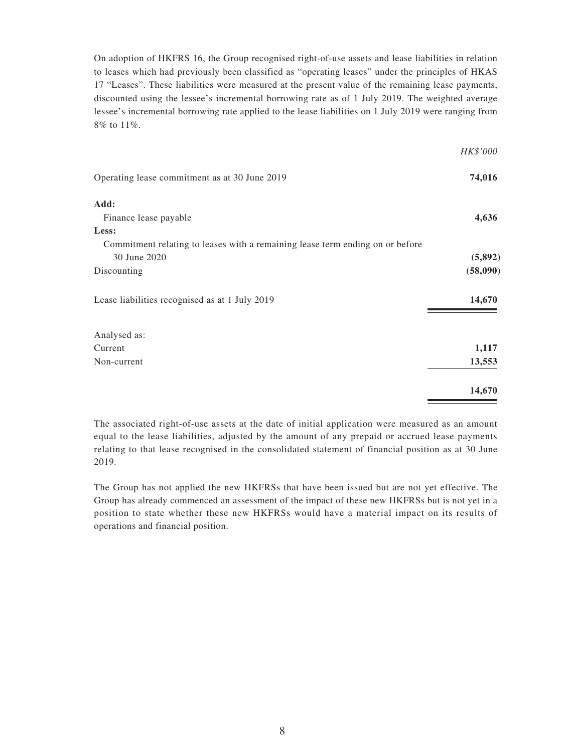On adoption of HKFRS 16, the Group recognised right-of-use assets and lease liabilities in relation to leases which had previously been classified as "operating leases" under the principles of HKAS 17 "Leases". These liabilities were measured at the present value of the remaining lease payments, discounted using the lessee's incremental borrowing rate as of 1 July 2019. The weighted average lessee's incremental borrowing rate applied to the lease liabilities on 1 July 2019 were ranging from 8% to 11%.

|                                                                               | HK\$'000 |
|-------------------------------------------------------------------------------|----------|
| Operating lease commitment as at 30 June 2019                                 | 74,016   |
| Add:                                                                          |          |
| Finance lease payable                                                         | 4,636    |
| Less:                                                                         |          |
| Commitment relating to leases with a remaining lease term ending on or before |          |
| 30 June 2020                                                                  | (5,892)  |
| Discounting                                                                   | (58,090) |
| Lease liabilities recognised as at 1 July 2019                                | 14,670   |
| Analysed as:                                                                  |          |
| Current                                                                       | 1,117    |
| Non-current                                                                   | 13,553   |
|                                                                               | 14,670   |

The associated right-of-use assets at the date of initial application were measured as an amount equal to the lease liabilities, adjusted by the amount of any prepaid or accrued lease payments relating to that lease recognised in the consolidated statement of financial position as at 30 June 2019.

The Group has not applied the new HKFRSs that have been issued but are not yet effective. The Group has already commenced an assessment of the impact of these new HKFRSs but is not yet in a position to state whether these new HKFRSs would have a material impact on its results of operations and financial position.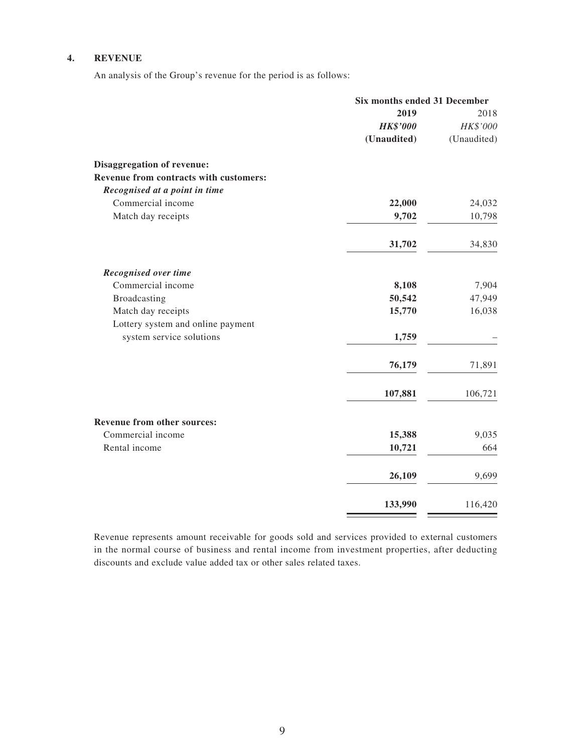### **4. REVENUE**

An analysis of the Group's revenue for the period is as follows:

|                                        | Six months ended 31 December |             |
|----------------------------------------|------------------------------|-------------|
|                                        | 2019                         | 2018        |
|                                        | <b>HK\$'000</b>              | HK\$'000    |
|                                        | (Unaudited)                  | (Unaudited) |
| Disaggregation of revenue:             |                              |             |
| Revenue from contracts with customers: |                              |             |
| Recognised at a point in time          |                              |             |
| Commercial income                      | 22,000                       | 24,032      |
| Match day receipts                     | 9,702                        | 10,798      |
|                                        | 31,702                       | 34,830      |
| <b>Recognised over time</b>            |                              |             |
| Commercial income                      | 8,108                        | 7,904       |
| Broadcasting                           | 50,542                       | 47,949      |
| Match day receipts                     | 15,770                       | 16,038      |
| Lottery system and online payment      |                              |             |
| system service solutions               | 1,759                        |             |
|                                        | 76,179                       | 71,891      |
|                                        | 107,881                      | 106,721     |
| Revenue from other sources:            |                              |             |
| Commercial income                      | 15,388                       | 9,035       |
| Rental income                          | 10,721                       | 664         |
|                                        | 26,109                       | 9,699       |
|                                        | 133,990                      | 116,420     |

Revenue represents amount receivable for goods sold and services provided to external customers in the normal course of business and rental income from investment properties, after deducting discounts and exclude value added tax or other sales related taxes.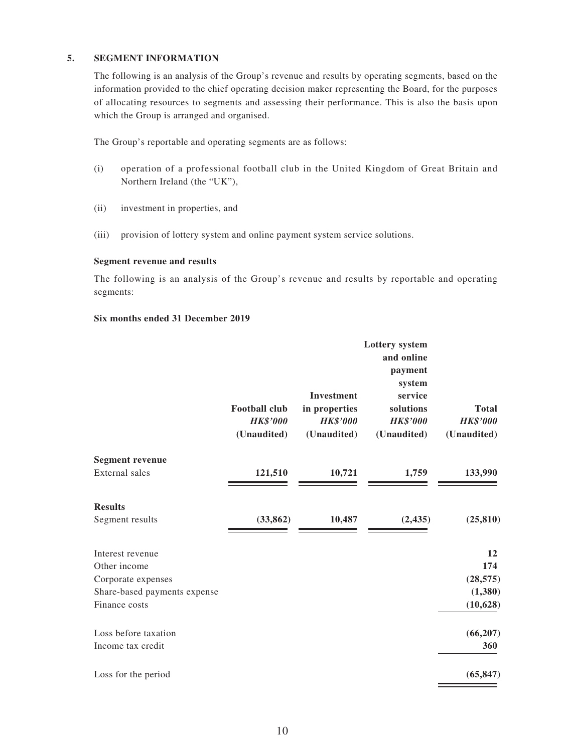### **5. SEGMENT INFORMATION**

The following is an analysis of the Group's revenue and results by operating segments, based on the information provided to the chief operating decision maker representing the Board, for the purposes of allocating resources to segments and assessing their performance. This is also the basis upon which the Group is arranged and organised.

The Group's reportable and operating segments are as follows:

- (i) operation of a professional football club in the United Kingdom of Great Britain and Northern Ireland (the "UK"),
- (ii) investment in properties, and
- (iii) provision of lottery system and online payment system service solutions.

#### **Segment revenue and results**

The following is an analysis of the Group's revenue and results by reportable and operating segments:

#### **Six months ended 31 December 2019**

|                              | <b>Football club</b><br><b>HK\$'000</b><br>(Unaudited) | <b>Investment</b><br>in properties<br><b>HK\$'000</b><br>(Unaudited) | <b>Lottery</b> system<br>and online<br>payment<br>system<br>service<br>solutions<br><b>HK\$'000</b><br>(Unaudited) | <b>Total</b><br><b>HK\$'000</b><br>(Unaudited) |
|------------------------------|--------------------------------------------------------|----------------------------------------------------------------------|--------------------------------------------------------------------------------------------------------------------|------------------------------------------------|
| <b>Segment revenue</b>       |                                                        |                                                                      |                                                                                                                    |                                                |
| <b>External</b> sales        | 121,510                                                | 10,721                                                               | 1,759                                                                                                              | 133,990                                        |
| <b>Results</b>               |                                                        |                                                                      |                                                                                                                    |                                                |
| Segment results              | (33, 862)                                              | 10,487                                                               | (2, 435)                                                                                                           | (25, 810)                                      |
| Interest revenue             |                                                        |                                                                      |                                                                                                                    | 12                                             |
| Other income                 |                                                        |                                                                      |                                                                                                                    | 174                                            |
| Corporate expenses           |                                                        |                                                                      |                                                                                                                    | (28, 575)                                      |
| Share-based payments expense |                                                        |                                                                      |                                                                                                                    | (1,380)                                        |
| Finance costs                |                                                        |                                                                      |                                                                                                                    | (10, 628)                                      |
| Loss before taxation         |                                                        |                                                                      |                                                                                                                    | (66, 207)                                      |
| Income tax credit            |                                                        |                                                                      |                                                                                                                    | 360                                            |
| Loss for the period          |                                                        |                                                                      |                                                                                                                    | (65, 847)                                      |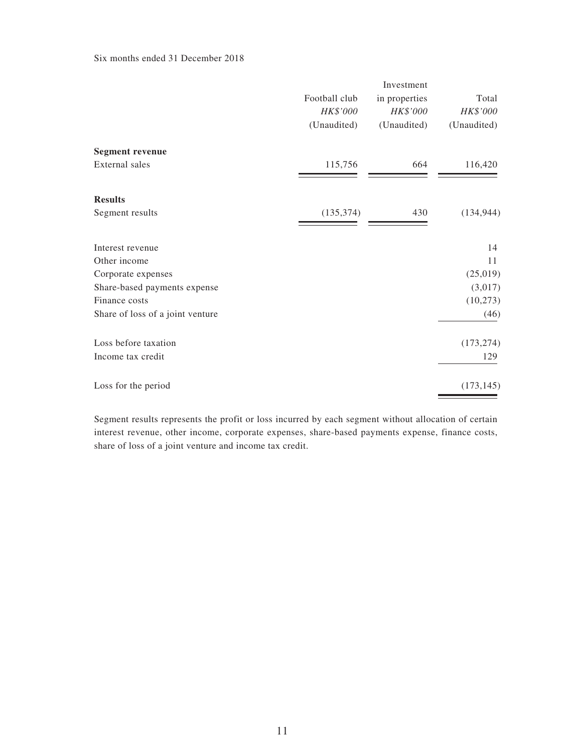Six months ended 31 December 2018

|                                  | Football club<br>HK\$'000<br>(Unaudited) | Investment<br>in properties<br>HK\$'000<br>(Unaudited) | Total<br>HK\$'000<br>(Unaudited) |
|----------------------------------|------------------------------------------|--------------------------------------------------------|----------------------------------|
| <b>Segment revenue</b>           |                                          |                                                        |                                  |
| External sales                   | 115,756                                  | 664                                                    | 116,420                          |
| <b>Results</b>                   |                                          |                                                        |                                  |
| Segment results                  | (135, 374)                               | 430                                                    | (134, 944)                       |
| Interest revenue                 |                                          |                                                        | 14                               |
| Other income                     |                                          |                                                        | 11                               |
| Corporate expenses               |                                          |                                                        | (25,019)                         |
| Share-based payments expense     |                                          |                                                        | (3,017)                          |
| Finance costs                    |                                          |                                                        | (10, 273)                        |
| Share of loss of a joint venture |                                          |                                                        | (46)                             |
| Loss before taxation             |                                          |                                                        | (173, 274)                       |
| Income tax credit                |                                          |                                                        | 129                              |
| Loss for the period              |                                          |                                                        | (173, 145)                       |

Segment results represents the profit or loss incurred by each segment without allocation of certain interest revenue, other income, corporate expenses, share-based payments expense, finance costs, share of loss of a joint venture and income tax credit.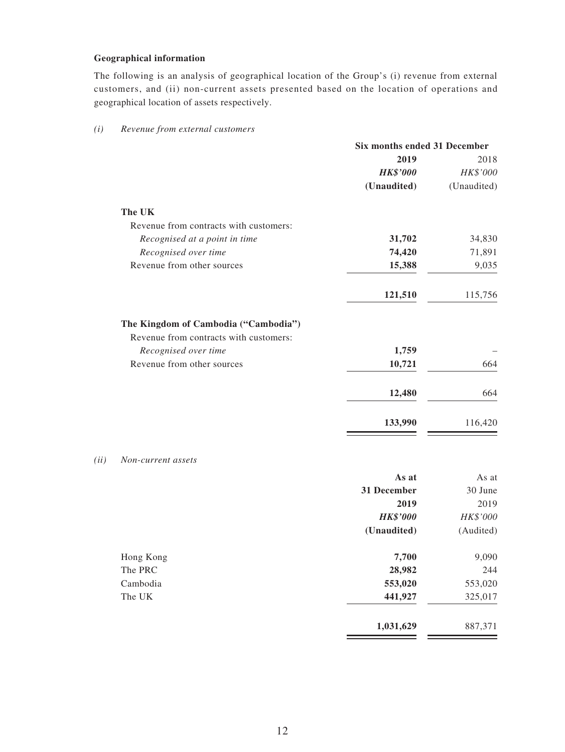### **Geographical information**

The following is an analysis of geographical location of the Group's (i) revenue from external customers, and (ii) non-current assets presented based on the location of operations and geographical location of assets respectively.

|                                        | Six months ended 31 December |             |
|----------------------------------------|------------------------------|-------------|
|                                        | 2019                         | 2018        |
|                                        | <b>HK\$'000</b>              | HK\$'000    |
|                                        | (Unaudited)                  | (Unaudited) |
| The UK                                 |                              |             |
| Revenue from contracts with customers: |                              |             |
| Recognised at a point in time          | 31,702                       | 34,830      |
| Recognised over time                   | 74,420                       | 71,891      |
| Revenue from other sources             | 15,388                       | 9,035       |
|                                        | 121,510                      | 115,756     |
| The Kingdom of Cambodia ("Cambodia")   |                              |             |
| Revenue from contracts with customers: |                              |             |
| Recognised over time                   | 1,759                        |             |
| Revenue from other sources             | 10,721                       | 664         |
|                                        | 12,480                       | 664         |
|                                        | 133,990                      | 116,420     |

### *(i) Revenue from external customers*

#### *(ii) Non-current assets*

|           | As at           | As at     |
|-----------|-----------------|-----------|
|           | 31 December     | 30 June   |
|           | 2019            | 2019      |
|           | <b>HK\$'000</b> | HK\$'000  |
|           | (Unaudited)     | (Audited) |
| Hong Kong | 7,700           | 9,090     |
| The PRC   | 28,982          | 244       |
| Cambodia  | 553,020         | 553,020   |
| The UK    | 441,927         | 325,017   |
|           | 1,031,629       | 887,371   |
|           |                 |           |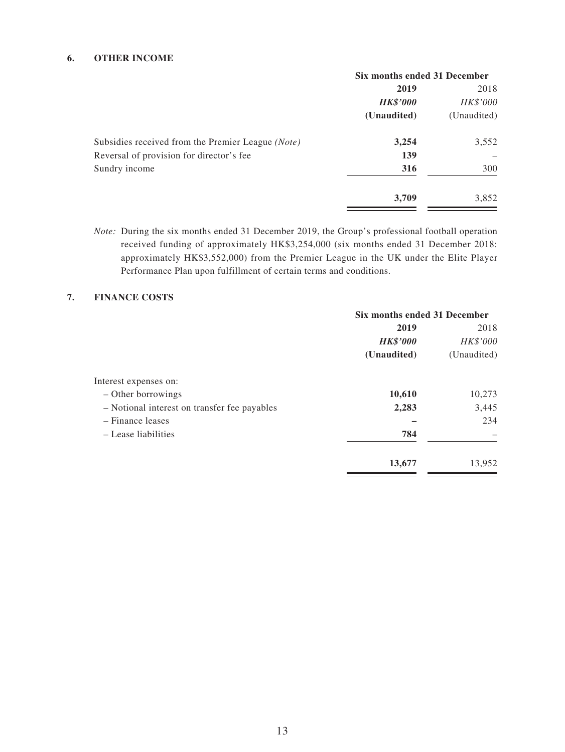### **6. OTHER INCOME**

|                                                   | Six months ended 31 December |             |
|---------------------------------------------------|------------------------------|-------------|
|                                                   | 2019                         | 2018        |
|                                                   | <b>HK\$'000</b>              | HK\$'000    |
|                                                   | (Unaudited)                  | (Unaudited) |
| Subsidies received from the Premier League (Note) | 3,254                        | 3,552       |
| Reversal of provision for director's fee          | 139                          |             |
| Sundry income                                     | 316                          | 300         |
|                                                   | 3,709                        | 3,852       |

*Note:* During the six months ended 31 December 2019, the Group's professional football operation received funding of approximately HK\$3,254,000 (six months ended 31 December 2018: approximately HK\$3,552,000) from the Premier League in the UK under the Elite Player Performance Plan upon fulfillment of certain terms and conditions.

### **7. FINANCE COSTS**

|                                              | Six months ended 31 December |             |
|----------------------------------------------|------------------------------|-------------|
|                                              | 2019                         | 2018        |
|                                              | <b>HK\$'000</b>              | HK\$'000    |
|                                              | (Unaudited)                  | (Unaudited) |
| Interest expenses on:                        |                              |             |
| - Other borrowings                           | 10,610                       | 10,273      |
| - Notional interest on transfer fee payables | 2,283                        | 3,445       |
| - Finance leases                             |                              | 234         |
| - Lease liabilities                          | 784                          |             |
|                                              | 13,677                       | 13,952      |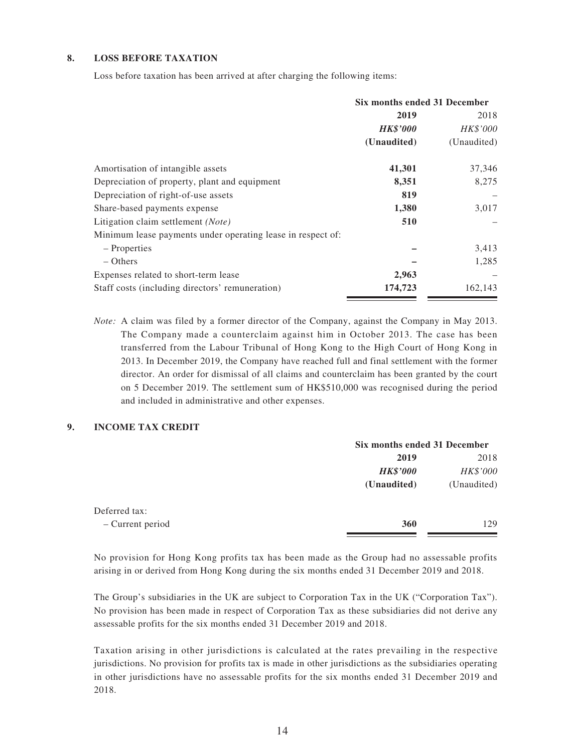#### **8. LOSS BEFORE TAXATION**

Loss before taxation has been arrived at after charging the following items:

|                                                             | Six months ended 31 December |                 |
|-------------------------------------------------------------|------------------------------|-----------------|
|                                                             | 2019                         | 2018            |
|                                                             | <b>HK\$'000</b>              | <i>HK\$'000</i> |
|                                                             | (Unaudited)                  | (Unaudited)     |
| Amortisation of intangible assets                           | 41,301                       | 37,346          |
| Depreciation of property, plant and equipment               | 8,351                        | 8,275           |
| Depreciation of right-of-use assets                         | 819                          |                 |
| Share-based payments expense                                | 1,380                        | 3,017           |
| Litigation claim settlement ( <i>Note</i> )                 | 510                          |                 |
| Minimum lease payments under operating lease in respect of: |                              |                 |
| – Properties                                                |                              | 3,413           |
| $-$ Others                                                  |                              | 1,285           |
| Expenses related to short-term lease                        | 2,963                        |                 |
| Staff costs (including directors' remuneration)             | 174,723                      | 162,143         |

*Note:* A claim was filed by a former director of the Company, against the Company in May 2013. The Company made a counterclaim against him in October 2013. The case has been transferred from the Labour Tribunal of Hong Kong to the High Court of Hong Kong in 2013. In December 2019, the Company have reached full and final settlement with the former director. An order for dismissal of all claims and counterclaim has been granted by the court on 5 December 2019. The settlement sum of HK\$510,000 was recognised during the period and included in administrative and other expenses.

#### **9. INCOME TAX CREDIT**

|                  |                 | Six months ended 31 December |  |
|------------------|-----------------|------------------------------|--|
|                  | 2019            | 2018                         |  |
|                  | <b>HK\$'000</b> | HK\$'000                     |  |
|                  | (Unaudited)     | (Unaudited)                  |  |
| Deferred tax:    |                 |                              |  |
| - Current period | 360             | 129                          |  |
|                  |                 |                              |  |

No provision for Hong Kong profits tax has been made as the Group had no assessable profits arising in or derived from Hong Kong during the six months ended 31 December 2019 and 2018.

The Group's subsidiaries in the UK are subject to Corporation Tax in the UK ("Corporation Tax"). No provision has been made in respect of Corporation Tax as these subsidiaries did not derive any assessable profits for the six months ended 31 December 2019 and 2018.

Taxation arising in other jurisdictions is calculated at the rates prevailing in the respective jurisdictions. No provision for profits tax is made in other jurisdictions as the subsidiaries operating in other jurisdictions have no assessable profits for the six months ended 31 December 2019 and 2018.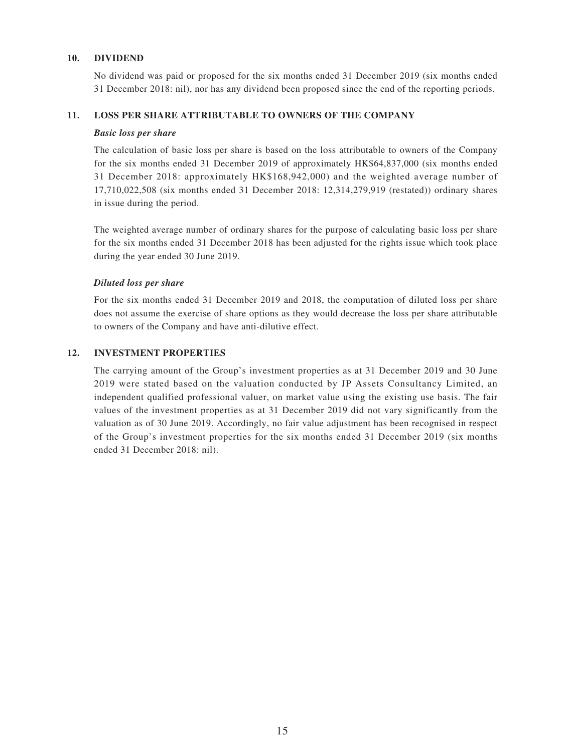#### **10. DIVIDEND**

No dividend was paid or proposed for the six months ended 31 December 2019 (six months ended 31 December 2018: nil), nor has any dividend been proposed since the end of the reporting periods.

#### **11. LOSS PER SHARE ATTRIBUTABLE TO OWNERS OF THE COMPANY**

#### *Basic loss per share*

The calculation of basic loss per share is based on the loss attributable to owners of the Company for the six months ended 31 December 2019 of approximately HK\$64,837,000 (six months ended 31 December 2018: approximately HK\$168,942,000) and the weighted average number of 17,710,022,508 (six months ended 31 December 2018: 12,314,279,919 (restated)) ordinary shares in issue during the period.

The weighted average number of ordinary shares for the purpose of calculating basic loss per share for the six months ended 31 December 2018 has been adjusted for the rights issue which took place during the year ended 30 June 2019.

#### *Diluted loss per share*

For the six months ended 31 December 2019 and 2018, the computation of diluted loss per share does not assume the exercise of share options as they would decrease the loss per share attributable to owners of the Company and have anti-dilutive effect.

#### **12. INVESTMENT PROPERTIES**

The carrying amount of the Group's investment properties as at 31 December 2019 and 30 June 2019 were stated based on the valuation conducted by JP Assets Consultancy Limited, an independent qualified professional valuer, on market value using the existing use basis. The fair values of the investment properties as at 31 December 2019 did not vary significantly from the valuation as of 30 June 2019. Accordingly, no fair value adjustment has been recognised in respect of the Group's investment properties for the six months ended 31 December 2019 (six months ended 31 December 2018: nil).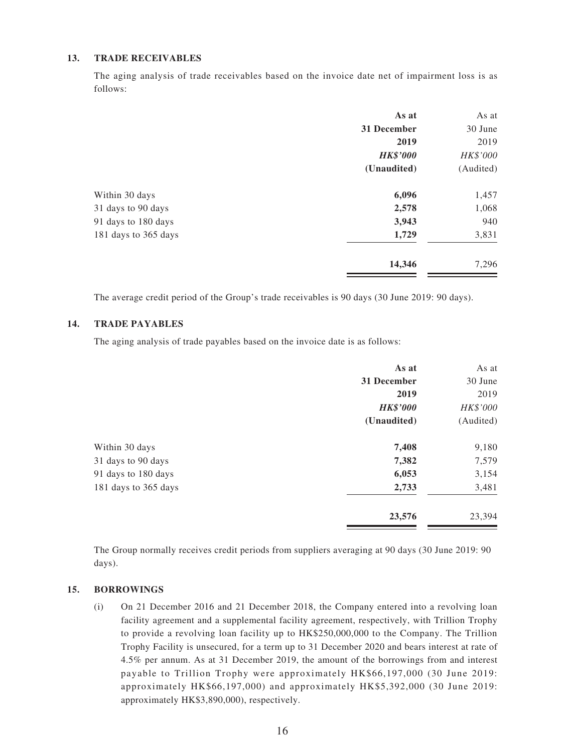#### **13. TRADE RECEIVABLES**

The aging analysis of trade receivables based on the invoice date net of impairment loss is as follows:

| As at           | As at     |
|-----------------|-----------|
| 31 December     | 30 June   |
| 2019            | 2019      |
| <b>HK\$'000</b> | HK\$'000  |
| (Unaudited)     | (Audited) |
| 6,096           | 1,457     |
| 2,578           | 1,068     |
| 3,943           | 940       |
| 1,729           | 3,831     |
| 14,346          | 7,296     |
|                 |           |

The average credit period of the Group's trade receivables is 90 days (30 June 2019: 90 days).

#### **14. TRADE PAYABLES**

The aging analysis of trade payables based on the invoice date is as follows:

|                      | As at           | As at     |
|----------------------|-----------------|-----------|
|                      | 31 December     | 30 June   |
|                      | 2019            | 2019      |
|                      | <b>HK\$'000</b> | HK\$'000  |
|                      | (Unaudited)     | (Audited) |
| Within 30 days       | 7,408           | 9,180     |
| 31 days to 90 days   | 7,382           | 7,579     |
| 91 days to 180 days  | 6,053           | 3,154     |
| 181 days to 365 days | 2,733           | 3,481     |
|                      | 23,576          | 23,394    |

The Group normally receives credit periods from suppliers averaging at 90 days (30 June 2019: 90 days).

#### **15. BORROWINGS**

(i) On 21 December 2016 and 21 December 2018, the Company entered into a revolving loan facility agreement and a supplemental facility agreement, respectively, with Trillion Trophy to provide a revolving loan facility up to HK\$250,000,000 to the Company. The Trillion Trophy Facility is unsecured, for a term up to 31 December 2020 and bears interest at rate of 4.5% per annum. As at 31 December 2019, the amount of the borrowings from and interest payable to Trillion Trophy were approximately HK\$66,197,000 (30 June 2019: approximately HK\$66,197,000) and approximately HK\$5,392,000 (30 June 2019: approximately HK\$3,890,000), respectively.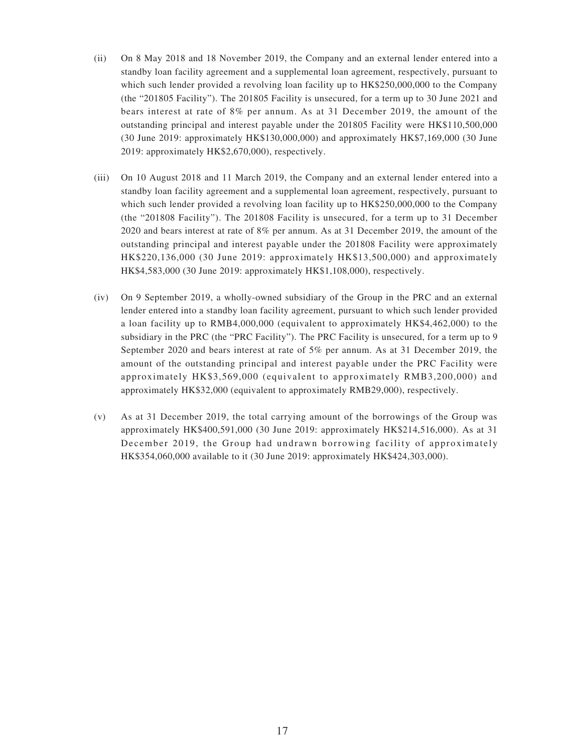- (ii) On 8 May 2018 and 18 November 2019, the Company and an external lender entered into a standby loan facility agreement and a supplemental loan agreement, respectively, pursuant to which such lender provided a revolving loan facility up to HK\$250,000,000 to the Company (the "201805 Facility"). The 201805 Facility is unsecured, for a term up to 30 June 2021 and bears interest at rate of 8% per annum. As at 31 December 2019, the amount of the outstanding principal and interest payable under the 201805 Facility were HK\$110,500,000 (30 June 2019: approximately HK\$130,000,000) and approximately HK\$7,169,000 (30 June 2019: approximately HK\$2,670,000), respectively.
- (iii) On 10 August 2018 and 11 March 2019, the Company and an external lender entered into a standby loan facility agreement and a supplemental loan agreement, respectively, pursuant to which such lender provided a revolving loan facility up to HK\$250,000,000 to the Company (the "201808 Facility"). The 201808 Facility is unsecured, for a term up to 31 December 2020 and bears interest at rate of 8% per annum. As at 31 December 2019, the amount of the outstanding principal and interest payable under the 201808 Facility were approximately HK\$220,136,000 (30 June 2019: approximately HK\$13,500,000) and approximately HK\$4,583,000 (30 June 2019: approximately HK\$1,108,000), respectively.
- (iv) On 9 September 2019, a wholly-owned subsidiary of the Group in the PRC and an external lender entered into a standby loan facility agreement, pursuant to which such lender provided a loan facility up to RMB4,000,000 (equivalent to approximately HK\$4,462,000) to the subsidiary in the PRC (the "PRC Facility"). The PRC Facility is unsecured, for a term up to 9 September 2020 and bears interest at rate of 5% per annum. As at 31 December 2019, the amount of the outstanding principal and interest payable under the PRC Facility were approximately HK\$3,569,000 (equivalent to approximately RMB3,200,000) and approximately HK\$32,000 (equivalent to approximately RMB29,000), respectively.
- (v) As at 31 December 2019, the total carrying amount of the borrowings of the Group was approximately HK\$400,591,000 (30 June 2019: approximately HK\$214,516,000). As at 31 December 2019, the Group had undrawn borrowing facility of approximately HK\$354,060,000 available to it (30 June 2019: approximately HK\$424,303,000).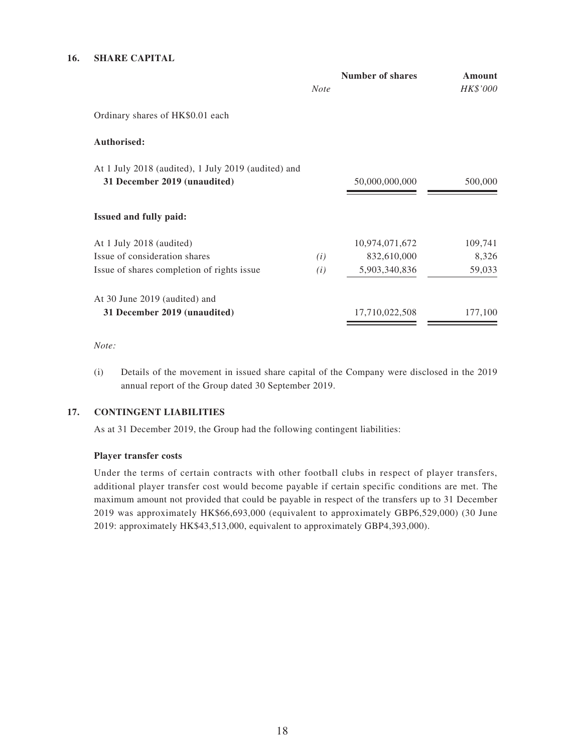#### **16. SHARE CAPITAL**

|                                                                                     | <b>Note</b> | Number of shares | Amount<br>HK\$'000 |
|-------------------------------------------------------------------------------------|-------------|------------------|--------------------|
| Ordinary shares of HK\$0.01 each                                                    |             |                  |                    |
| Authorised:                                                                         |             |                  |                    |
| At 1 July 2018 (audited), 1 July 2019 (audited) and<br>31 December 2019 (unaudited) |             | 50,000,000,000   | 500,000            |
| <b>Issued and fully paid:</b>                                                       |             |                  |                    |
| At 1 July 2018 (audited)                                                            |             | 10,974,071,672   | 109,741            |
| Issue of consideration shares                                                       | (i)         | 832,610,000      | 8,326              |
| Issue of shares completion of rights issue                                          | (i)         | 5,903,340,836    | 59,033             |
| At 30 June 2019 (audited) and                                                       |             |                  |                    |
| 31 December 2019 (unaudited)                                                        |             | 17,710,022,508   | 177,100            |

#### *Note:*

(i) Details of the movement in issued share capital of the Company were disclosed in the 2019 annual report of the Group dated 30 September 2019.

### **17. CONTINGENT LIABILITIES**

As at 31 December 2019, the Group had the following contingent liabilities:

#### **Player transfer costs**

Under the terms of certain contracts with other football clubs in respect of player transfers, additional player transfer cost would become payable if certain specific conditions are met. The maximum amount not provided that could be payable in respect of the transfers up to 31 December 2019 was approximately HK\$66,693,000 (equivalent to approximately GBP6,529,000) (30 June 2019: approximately HK\$43,513,000, equivalent to approximately GBP4,393,000).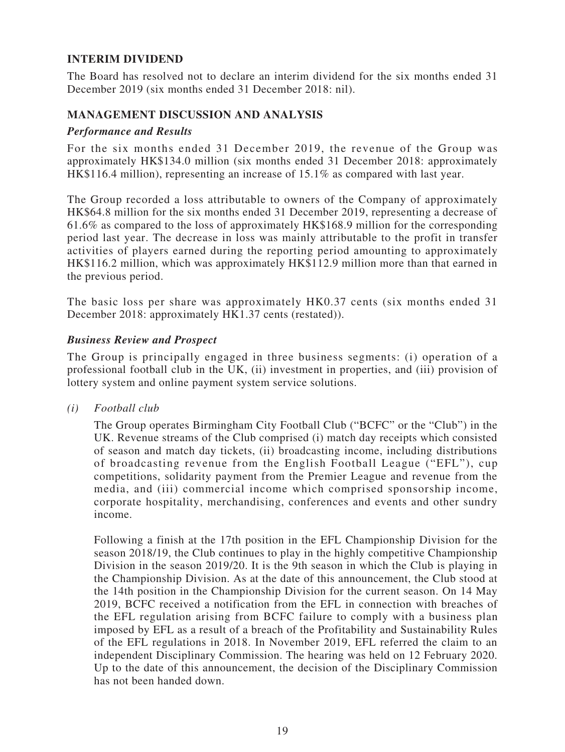# **INTERIM DIVIDEND**

The Board has resolved not to declare an interim dividend for the six months ended 31 December 2019 (six months ended 31 December 2018: nil).

### **MANAGEMENT DISCUSSION AND ANALYSIS**

### *Performance and Results*

For the six months ended 31 December 2019, the revenue of the Group was approximately HK\$134.0 million (six months ended 31 December 2018: approximately HK\$116.4 million), representing an increase of 15.1% as compared with last year.

The Group recorded a loss attributable to owners of the Company of approximately HK\$64.8 million for the six months ended 31 December 2019, representing a decrease of 61.6% as compared to the loss of approximately HK\$168.9 million for the corresponding period last year. The decrease in loss was mainly attributable to the profit in transfer activities of players earned during the reporting period amounting to approximately HK\$116.2 million, which was approximately HK\$112.9 million more than that earned in the previous period.

The basic loss per share was approximately HK0.37 cents (six months ended 31 December 2018: approximately HK1.37 cents (restated)).

### *Business Review and Prospect*

The Group is principally engaged in three business segments: (i) operation of a professional football club in the UK, (ii) investment in properties, and (iii) provision of lottery system and online payment system service solutions.

*(i) Football club*

The Group operates Birmingham City Football Club ("BCFC" or the "Club") in the UK. Revenue streams of the Club comprised (i) match day receipts which consisted of season and match day tickets, (ii) broadcasting income, including distributions of broadcasting revenue from the English Football League ("EFL"), cup competitions, solidarity payment from the Premier League and revenue from the media, and (iii) commercial income which comprised sponsorship income, corporate hospitality, merchandising, conferences and events and other sundry income.

Following a finish at the 17th position in the EFL Championship Division for the season 2018/19, the Club continues to play in the highly competitive Championship Division in the season 2019/20. It is the 9th season in which the Club is playing in the Championship Division. As at the date of this announcement, the Club stood at the 14th position in the Championship Division for the current season. On 14 May 2019, BCFC received a notification from the EFL in connection with breaches of the EFL regulation arising from BCFC failure to comply with a business plan imposed by EFL as a result of a breach of the Profitability and Sustainability Rules of the EFL regulations in 2018. In November 2019, EFL referred the claim to an independent Disciplinary Commission. The hearing was held on 12 February 2020. Up to the date of this announcement, the decision of the Disciplinary Commission has not been handed down.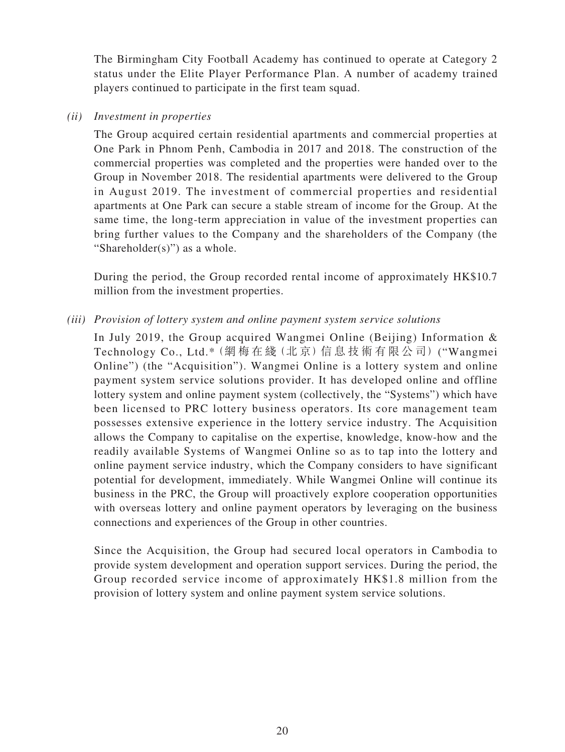The Birmingham City Football Academy has continued to operate at Category 2 status under the Elite Player Performance Plan. A number of academy trained players continued to participate in the first team squad.

### *(ii) Investment in properties*

The Group acquired certain residential apartments and commercial properties at One Park in Phnom Penh, Cambodia in 2017 and 2018. The construction of the commercial properties was completed and the properties were handed over to the Group in November 2018. The residential apartments were delivered to the Group in August 2019. The investment of commercial properties and residential apartments at One Park can secure a stable stream of income for the Group. At the same time, the long-term appreciation in value of the investment properties can bring further values to the Company and the shareholders of the Company (the "Shareholder $(s)$ ") as a whole.

During the period, the Group recorded rental income of approximately HK\$10.7 million from the investment properties.

### *(iii) Provision of lottery system and online payment system service solutions*

In July 2019, the Group acquired Wangmei Online (Beijing) Information & Technology Co., Ltd.\*(網 梅 在 綫(北 京)信 息 技 術 有 限 公 司) ("Wangmei Online") (the "Acquisition"). Wangmei Online is a lottery system and online payment system service solutions provider. It has developed online and offline lottery system and online payment system (collectively, the "Systems") which have been licensed to PRC lottery business operators. Its core management team possesses extensive experience in the lottery service industry. The Acquisition allows the Company to capitalise on the expertise, knowledge, know-how and the readily available Systems of Wangmei Online so as to tap into the lottery and online payment service industry, which the Company considers to have significant potential for development, immediately. While Wangmei Online will continue its business in the PRC, the Group will proactively explore cooperation opportunities with overseas lottery and online payment operators by leveraging on the business connections and experiences of the Group in other countries.

Since the Acquisition, the Group had secured local operators in Cambodia to provide system development and operation support services. During the period, the Group recorded service income of approximately HK\$1.8 million from the provision of lottery system and online payment system service solutions.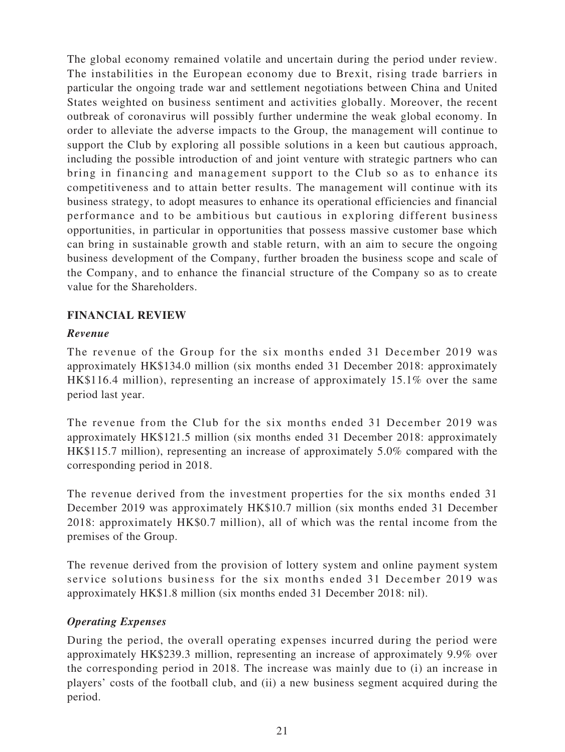The global economy remained volatile and uncertain during the period under review. The instabilities in the European economy due to Brexit, rising trade barriers in particular the ongoing trade war and settlement negotiations between China and United States weighted on business sentiment and activities globally. Moreover, the recent outbreak of coronavirus will possibly further undermine the weak global economy. In order to alleviate the adverse impacts to the Group, the management will continue to support the Club by exploring all possible solutions in a keen but cautious approach, including the possible introduction of and joint venture with strategic partners who can bring in financing and management support to the Club so as to enhance its competitiveness and to attain better results. The management will continue with its business strategy, to adopt measures to enhance its operational efficiencies and financial performance and to be ambitious but cautious in exploring different business opportunities, in particular in opportunities that possess massive customer base which can bring in sustainable growth and stable return, with an aim to secure the ongoing business development of the Company, further broaden the business scope and scale of the Company, and to enhance the financial structure of the Company so as to create value for the Shareholders.

### **FINANCIAL REVIEW**

### *Revenue*

The revenue of the Group for the six months ended 31 December 2019 was approximately HK\$134.0 million (six months ended 31 December 2018: approximately HK\$116.4 million), representing an increase of approximately 15.1% over the same period last year.

The revenue from the Club for the six months ended 31 December 2019 was approximately HK\$121.5 million (six months ended 31 December 2018: approximately HK\$115.7 million), representing an increase of approximately 5.0% compared with the corresponding period in 2018.

The revenue derived from the investment properties for the six months ended 31 December 2019 was approximately HK\$10.7 million (six months ended 31 December 2018: approximately HK\$0.7 million), all of which was the rental income from the premises of the Group.

The revenue derived from the provision of lottery system and online payment system service solutions business for the six months ended 31 December 2019 was approximately HK\$1.8 million (six months ended 31 December 2018: nil).

# *Operating Expenses*

During the period, the overall operating expenses incurred during the period were approximately HK\$239.3 million, representing an increase of approximately 9.9% over the corresponding period in 2018. The increase was mainly due to (i) an increase in players' costs of the football club, and (ii) a new business segment acquired during the period.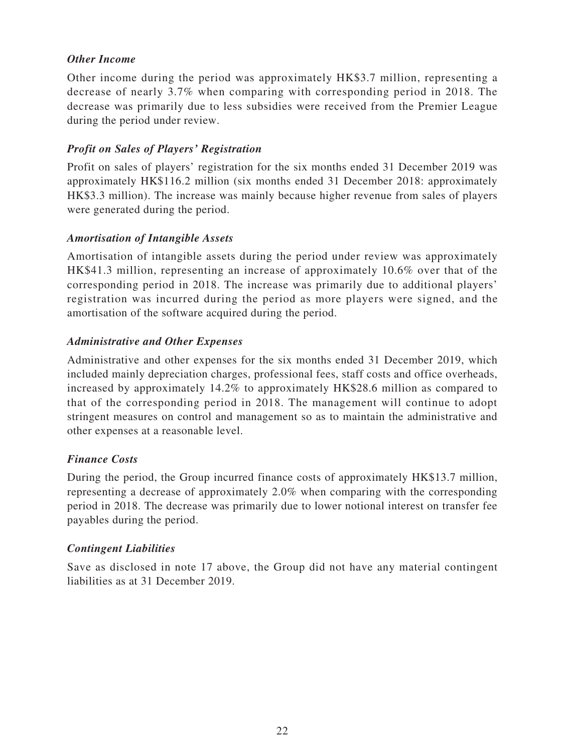### *Other Income*

Other income during the period was approximately HK\$3.7 million, representing a decrease of nearly 3.7% when comparing with corresponding period in 2018. The decrease was primarily due to less subsidies were received from the Premier League during the period under review.

### *Profit on Sales of Players' Registration*

Profit on sales of players' registration for the six months ended 31 December 2019 was approximately HK\$116.2 million (six months ended 31 December 2018: approximately HK\$3.3 million). The increase was mainly because higher revenue from sales of players were generated during the period.

# *Amortisation of Intangible Assets*

Amortisation of intangible assets during the period under review was approximately HK\$41.3 million, representing an increase of approximately 10.6% over that of the corresponding period in 2018. The increase was primarily due to additional players' registration was incurred during the period as more players were signed, and the amortisation of the software acquired during the period.

# *Administrative and Other Expenses*

Administrative and other expenses for the six months ended 31 December 2019, which included mainly depreciation charges, professional fees, staff costs and office overheads, increased by approximately 14.2% to approximately HK\$28.6 million as compared to that of the corresponding period in 2018. The management will continue to adopt stringent measures on control and management so as to maintain the administrative and other expenses at a reasonable level.

### *Finance Costs*

During the period, the Group incurred finance costs of approximately HK\$13.7 million, representing a decrease of approximately 2.0% when comparing with the corresponding period in 2018. The decrease was primarily due to lower notional interest on transfer fee payables during the period.

### *Contingent Liabilities*

Save as disclosed in note 17 above, the Group did not have any material contingent liabilities as at 31 December 2019.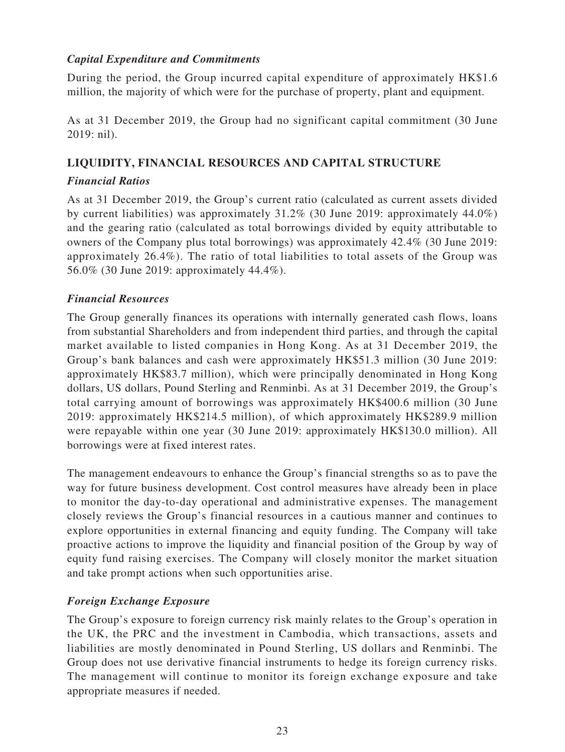# *Capital Expenditure and Commitments*

During the period, the Group incurred capital expenditure of approximately HK\$1.6 million, the majority of which were for the purchase of property, plant and equipment.

As at 31 December 2019, the Group had no significant capital commitment (30 June 2019: nil).

### **LIQUIDITY, FINANCIAL RESOURCES AND CAPITAL STRUCTURE**

### *Financial Ratios*

As at 31 December 2019, the Group's current ratio (calculated as current assets divided by current liabilities) was approximately 31.2% (30 June 2019: approximately 44.0%) and the gearing ratio (calculated as total borrowings divided by equity attributable to owners of the Company plus total borrowings) was approximately 42.4% (30 June 2019: approximately 26.4%). The ratio of total liabilities to total assets of the Group was 56.0% (30 June 2019: approximately 44.4%).

### *Financial Resources*

The Group generally finances its operations with internally generated cash flows, loans from substantial Shareholders and from independent third parties, and through the capital market available to listed companies in Hong Kong. As at 31 December 2019, the Group's bank balances and cash were approximately HK\$51.3 million (30 June 2019: approximately HK\$83.7 million), which were principally denominated in Hong Kong dollars, US dollars, Pound Sterling and Renminbi. As at 31 December 2019, the Group's total carrying amount of borrowings was approximately HK\$400.6 million (30 June 2019: approximately HK\$214.5 million), of which approximately HK\$289.9 million were repayable within one year (30 June 2019: approximately HK\$130.0 million). All borrowings were at fixed interest rates.

The management endeavours to enhance the Group's financial strengths so as to pave the way for future business development. Cost control measures have already been in place to monitor the day-to-day operational and administrative expenses. The management closely reviews the Group's financial resources in a cautious manner and continues to explore opportunities in external financing and equity funding. The Company will take proactive actions to improve the liquidity and financial position of the Group by way of equity fund raising exercises. The Company will closely monitor the market situation and take prompt actions when such opportunities arise.

### *Foreign Exchange Exposure*

The Group's exposure to foreign currency risk mainly relates to the Group's operation in the UK, the PRC and the investment in Cambodia, which transactions, assets and liabilities are mostly denominated in Pound Sterling, US dollars and Renminbi. The Group does not use derivative financial instruments to hedge its foreign currency risks. The management will continue to monitor its foreign exchange exposure and take appropriate measures if needed.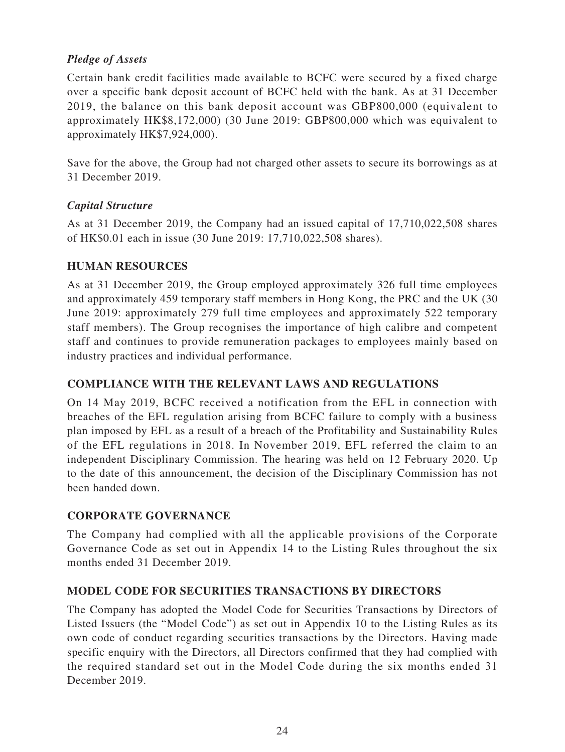# *Pledge of Assets*

Certain bank credit facilities made available to BCFC were secured by a fixed charge over a specific bank deposit account of BCFC held with the bank. As at 31 December 2019, the balance on this bank deposit account was GBP800,000 (equivalent to approximately HK\$8,172,000) (30 June 2019: GBP800,000 which was equivalent to approximately HK\$7,924,000).

Save for the above, the Group had not charged other assets to secure its borrowings as at 31 December 2019.

# *Capital Structure*

As at 31 December 2019, the Company had an issued capital of 17,710,022,508 shares of HK\$0.01 each in issue (30 June 2019: 17,710,022,508 shares).

# **HUMAN RESOURCES**

As at 31 December 2019, the Group employed approximately 326 full time employees and approximately 459 temporary staff members in Hong Kong, the PRC and the UK (30 June 2019: approximately 279 full time employees and approximately 522 temporary staff members). The Group recognises the importance of high calibre and competent staff and continues to provide remuneration packages to employees mainly based on industry practices and individual performance.

### **COMPLIANCE WITH THE RELEVANT LAWS AND REGULATIONS**

On 14 May 2019, BCFC received a notification from the EFL in connection with breaches of the EFL regulation arising from BCFC failure to comply with a business plan imposed by EFL as a result of a breach of the Profitability and Sustainability Rules of the EFL regulations in 2018. In November 2019, EFL referred the claim to an independent Disciplinary Commission. The hearing was held on 12 February 2020. Up to the date of this announcement, the decision of the Disciplinary Commission has not been handed down.

# **CORPORATE GOVERNANCE**

The Company had complied with all the applicable provisions of the Corporate Governance Code as set out in Appendix 14 to the Listing Rules throughout the six months ended 31 December 2019.

### **MODEL CODE FOR SECURITIES TRANSACTIONS BY DIRECTORS**

The Company has adopted the Model Code for Securities Transactions by Directors of Listed Issuers (the "Model Code") as set out in Appendix 10 to the Listing Rules as its own code of conduct regarding securities transactions by the Directors. Having made specific enquiry with the Directors, all Directors confirmed that they had complied with the required standard set out in the Model Code during the six months ended 31 December 2019.